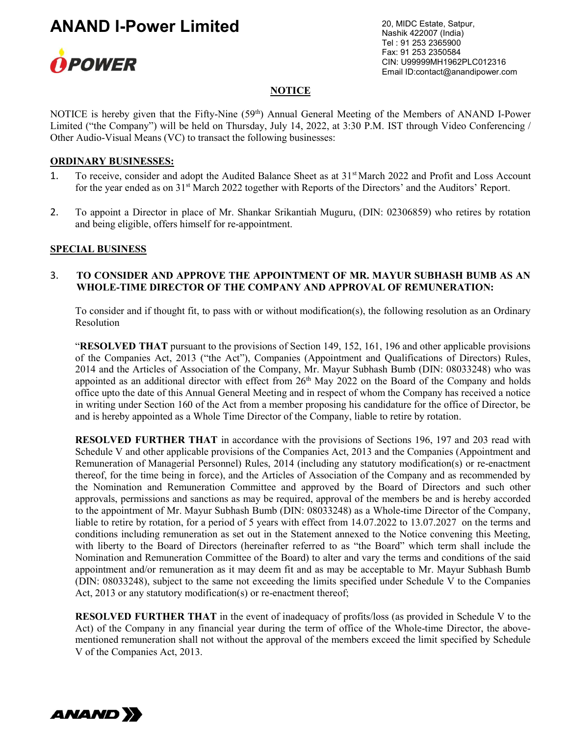

20, MIDC Estate, Satpur, Nashik 422007 (India) Tel : 91 253 2365900 Fax: 91 253 2350584 CIN: U99999MH1962PLC012316 Email ID:contact@anandipower.com

#### **NOTICE**

NOTICE is hereby given that the Fifty-Nine (59<sup>th</sup>) Annual General Meeting of the Members of ANAND I-Power Limited ("the Company") will be held on Thursday, July 14, 2022, at 3:30 P.M. IST through Video Conferencing / Other Audio-Visual Means (VC) to transact the following businesses:

#### ORDINARY BUSINESSES:

- 1. To receive, consider and adopt the Audited Balance Sheet as at 31<sup>st</sup> March 2022 and Profit and Loss Account for the year ended as on 31<sup>st</sup> March 2022 together with Reports of the Directors' and the Auditors' Report.
- 2. To appoint a Director in place of Mr. Shankar Srikantiah Muguru, (DIN: 02306859) who retires by rotation and being eligible, offers himself for re-appointment.

#### SPECIAL BUSINESS

#### 3. TO CONSIDER AND APPROVE THE APPOINTMENT OF MR. MAYUR SUBHASH BUMB AS AN WHOLE-TIME DIRECTOR OF THE COMPANY AND APPROVAL OF REMUNERATION:

To consider and if thought fit, to pass with or without modification(s), the following resolution as an Ordinary Resolution

"RESOLVED THAT pursuant to the provisions of Section 149, 152, 161, 196 and other applicable provisions of the Companies Act, 2013 ("the Act"), Companies (Appointment and Qualifications of Directors) Rules, 2014 and the Articles of Association of the Company, Mr. Mayur Subhash Bumb (DIN: 08033248) who was appointed as an additional director with effect from  $26<sup>th</sup>$  May 2022 on the Board of the Company and holds office upto the date of this Annual General Meeting and in respect of whom the Company has received a notice in writing under Section 160 of the Act from a member proposing his candidature for the office of Director, be and is hereby appointed as a Whole Time Director of the Company, liable to retire by rotation.

RESOLVED FURTHER THAT in accordance with the provisions of Sections 196, 197 and 203 read with Schedule V and other applicable provisions of the Companies Act, 2013 and the Companies (Appointment and Remuneration of Managerial Personnel) Rules, 2014 (including any statutory modification(s) or re-enactment thereof, for the time being in force), and the Articles of Association of the Company and as recommended by the Nomination and Remuneration Committee and approved by the Board of Directors and such other approvals, permissions and sanctions as may be required, approval of the members be and is hereby accorded to the appointment of Mr. Mayur Subhash Bumb (DIN: 08033248) as a Whole-time Director of the Company, liable to retire by rotation, for a period of 5 years with effect from 14.07.2022 to 13.07.2027 on the terms and conditions including remuneration as set out in the Statement annexed to the Notice convening this Meeting, with liberty to the Board of Directors (hereinafter referred to as "the Board" which term shall include the Nomination and Remuneration Committee of the Board) to alter and vary the terms and conditions of the said appointment and/or remuneration as it may deem fit and as may be acceptable to Mr. Mayur Subhash Bumb (DIN: 08033248), subject to the same not exceeding the limits specified under Schedule V to the Companies Act, 2013 or any statutory modification(s) or re-enactment thereof;

RESOLVED FURTHER THAT in the event of inadequacy of profits/loss (as provided in Schedule V to the Act) of the Company in any financial year during the term of office of the Whole-time Director, the abovementioned remuneration shall not without the approval of the members exceed the limit specified by Schedule V of the Companies Act, 2013.

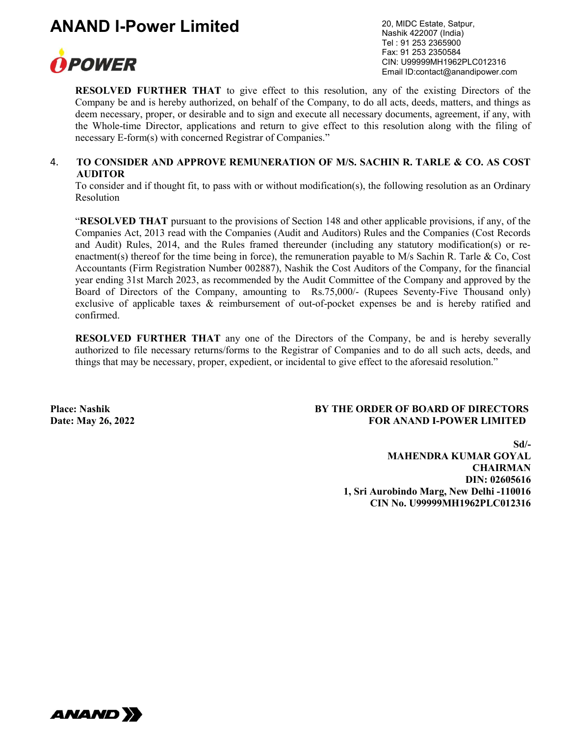

20, MIDC Estate, Satpur, Nashik 422007 (India) Tel : 91 253 2365900 Fax: 91 253 2350584 CIN: U99999MH1962PLC012316 Email ID:contact@anandipower.com

RESOLVED FURTHER THAT to give effect to this resolution, any of the existing Directors of the Company be and is hereby authorized, on behalf of the Company, to do all acts, deeds, matters, and things as deem necessary, proper, or desirable and to sign and execute all necessary documents, agreement, if any, with the Whole-time Director, applications and return to give effect to this resolution along with the filing of necessary E-form(s) with concerned Registrar of Companies."

#### 4. TO CONSIDER AND APPROVE REMUNERATION OF M/S. SACHIN R. TARLE & CO. AS COST AUDITOR

To consider and if thought fit, to pass with or without modification(s), the following resolution as an Ordinary Resolution

"RESOLVED THAT pursuant to the provisions of Section 148 and other applicable provisions, if any, of the Companies Act, 2013 read with the Companies (Audit and Auditors) Rules and the Companies (Cost Records and Audit) Rules, 2014, and the Rules framed thereunder (including any statutory modification(s) or reenactment(s) thereof for the time being in force), the remuneration payable to  $M/s$  Sachin R. Tarle & Co, Cost Accountants (Firm Registration Number 002887), Nashik the Cost Auditors of the Company, for the financial year ending 31st March 2023, as recommended by the Audit Committee of the Company and approved by the Board of Directors of the Company, amounting to Rs.75,000/- (Rupees Seventy-Five Thousand only) exclusive of applicable taxes & reimbursement of out-of-pocket expenses be and is hereby ratified and confirmed.

RESOLVED FURTHER THAT any one of the Directors of the Company, be and is hereby severally authorized to file necessary returns/forms to the Registrar of Companies and to do all such acts, deeds, and things that may be necessary, proper, expedient, or incidental to give effect to the aforesaid resolution."

### Place: Nashik BY THE ORDER OF BOARD OF DIRECTORS Date: May 26, 2022 **FOR ANAND I-POWER LIMITED**

Sd/- MAHENDRA KUMAR GOYAL **CHAIRMAN**  DIN: 02605616 1, Sri Aurobindo Marg, New Delhi -110016 CIN No. U99999MH1962PLC012316

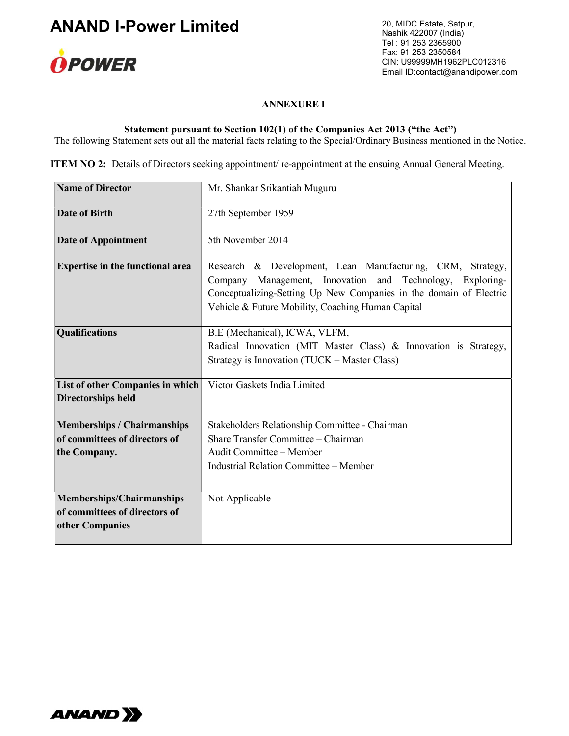

20, MIDC Estate, Satpur, Nashik 422007 (India) Tel : 91 253 2365900 Fax: 91 253 2350584 CIN: U99999MH1962PLC012316 Email ID:contact@anandipower.com

#### ANNEXURE I

### Statement pursuant to Section 102(1) of the Companies Act 2013 ("the Act")

The following Statement sets out all the material facts relating to the Special/Ordinary Business mentioned in the Notice.

ITEM NO 2: Details of Directors seeking appointment/re-appointment at the ensuing Annual General Meeting.

| <b>Name of Director</b>                                       | Mr. Shankar Srikantiah Muguru                                                                                                                                                                                                                         |
|---------------------------------------------------------------|-------------------------------------------------------------------------------------------------------------------------------------------------------------------------------------------------------------------------------------------------------|
| <b>Date of Birth</b>                                          | 27th September 1959                                                                                                                                                                                                                                   |
| <b>Date of Appointment</b>                                    | 5th November 2014                                                                                                                                                                                                                                     |
| <b>Expertise in the functional area</b>                       | Research & Development, Lean Manufacturing, CRM, Strategy,<br>Company Management, Innovation and Technology,<br>Exploring-<br>Conceptualizing-Setting Up New Companies in the domain of Electric<br>Vehicle & Future Mobility, Coaching Human Capital |
| <b>Qualifications</b>                                         | B.E (Mechanical), ICWA, VLFM,<br>Radical Innovation (MIT Master Class) & Innovation is Strategy,<br>Strategy is Innovation (TUCK – Master Class)                                                                                                      |
| List of other Companies in which<br><b>Directorships held</b> | Victor Gaskets India Limited                                                                                                                                                                                                                          |
| <b>Memberships / Chairmanships</b>                            | Stakeholders Relationship Committee - Chairman                                                                                                                                                                                                        |
| of committees of directors of                                 | Share Transfer Committee - Chairman                                                                                                                                                                                                                   |
| the Company.                                                  | Audit Committee - Member                                                                                                                                                                                                                              |
|                                                               | <b>Industrial Relation Committee - Member</b>                                                                                                                                                                                                         |
| Memberships/Chairmanships                                     | Not Applicable                                                                                                                                                                                                                                        |
| of committees of directors of<br>other Companies              |                                                                                                                                                                                                                                                       |

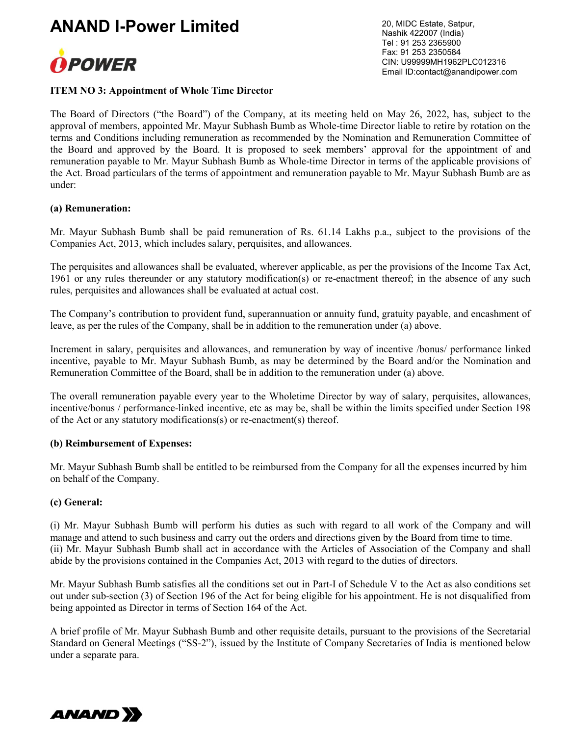

20, MIDC Estate, Satpur, Nashik 422007 (India) Tel : 91 253 2365900 Fax: 91 253 2350584 CIN: U99999MH1962PLC012316 Email ID:contact@anandipower.com

#### ITEM NO 3: Appointment of Whole Time Director

The Board of Directors ("the Board") of the Company, at its meeting held on May 26, 2022, has, subject to the approval of members, appointed Mr. Mayur Subhash Bumb as Whole-time Director liable to retire by rotation on the terms and Conditions including remuneration as recommended by the Nomination and Remuneration Committee of the Board and approved by the Board. It is proposed to seek members' approval for the appointment of and remuneration payable to Mr. Mayur Subhash Bumb as Whole-time Director in terms of the applicable provisions of the Act. Broad particulars of the terms of appointment and remuneration payable to Mr. Mayur Subhash Bumb are as under:

#### (a) Remuneration:

Mr. Mayur Subhash Bumb shall be paid remuneration of Rs. 61.14 Lakhs p.a., subject to the provisions of the Companies Act, 2013, which includes salary, perquisites, and allowances.

The perquisites and allowances shall be evaluated, wherever applicable, as per the provisions of the Income Tax Act, 1961 or any rules thereunder or any statutory modification(s) or re-enactment thereof; in the absence of any such rules, perquisites and allowances shall be evaluated at actual cost.

The Company's contribution to provident fund, superannuation or annuity fund, gratuity payable, and encashment of leave, as per the rules of the Company, shall be in addition to the remuneration under (a) above.

Increment in salary, perquisites and allowances, and remuneration by way of incentive /bonus/ performance linked incentive, payable to Mr. Mayur Subhash Bumb, as may be determined by the Board and/or the Nomination and Remuneration Committee of the Board, shall be in addition to the remuneration under (a) above.

The overall remuneration payable every year to the Wholetime Director by way of salary, perquisites, allowances, incentive/bonus / performance-linked incentive, etc as may be, shall be within the limits specified under Section 198 of the Act or any statutory modifications(s) or re-enactment(s) thereof.

#### (b) Reimbursement of Expenses:

Mr. Mayur Subhash Bumb shall be entitled to be reimbursed from the Company for all the expenses incurred by him on behalf of the Company.

#### (c) General:

(i) Mr. Mayur Subhash Bumb will perform his duties as such with regard to all work of the Company and will manage and attend to such business and carry out the orders and directions given by the Board from time to time. (ii) Mr. Mayur Subhash Bumb shall act in accordance with the Articles of Association of the Company and shall abide by the provisions contained in the Companies Act, 2013 with regard to the duties of directors.

Mr. Mayur Subhash Bumb satisfies all the conditions set out in Part-I of Schedule V to the Act as also conditions set out under sub-section (3) of Section 196 of the Act for being eligible for his appointment. He is not disqualified from being appointed as Director in terms of Section 164 of the Act.

A brief profile of Mr. Mayur Subhash Bumb and other requisite details, pursuant to the provisions of the Secretarial Standard on General Meetings ("SS-2"), issued by the Institute of Company Secretaries of India is mentioned below under a separate para.

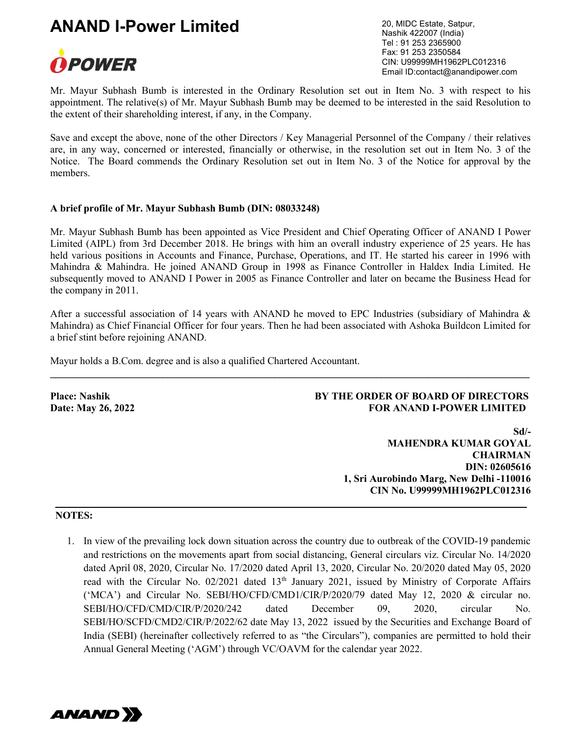

20, MIDC Estate, Satpur, Nashik 422007 (India) Tel : 91 253 2365900 Fax: 91 253 2350584 CIN: U99999MH1962PLC012316 Email ID:contact@anandipower.com

Mr. Mayur Subhash Bumb is interested in the Ordinary Resolution set out in Item No. 3 with respect to his appointment. The relative(s) of Mr. Mayur Subhash Bumb may be deemed to be interested in the said Resolution to the extent of their shareholding interest, if any, in the Company.

Save and except the above, none of the other Directors / Key Managerial Personnel of the Company / their relatives are, in any way, concerned or interested, financially or otherwise, in the resolution set out in Item No. 3 of the Notice. The Board commends the Ordinary Resolution set out in Item No. 3 of the Notice for approval by the members.

#### A brief profile of Mr. Mayur Subhash Bumb (DIN: 08033248)

Mr. Mayur Subhash Bumb has been appointed as Vice President and Chief Operating Officer of ANAND I Power Limited (AIPL) from 3rd December 2018. He brings with him an overall industry experience of 25 years. He has held various positions in Accounts and Finance, Purchase, Operations, and IT. He started his career in 1996 with Mahindra & Mahindra. He joined ANAND Group in 1998 as Finance Controller in Haldex India Limited. He subsequently moved to ANAND I Power in 2005 as Finance Controller and later on became the Business Head for the company in 2011.

After a successful association of 14 years with ANAND he moved to EPC Industries (subsidiary of Mahindra  $\&$ Mahindra) as Chief Financial Officer for four years. Then he had been associated with Ashoka Buildcon Limited for a brief stint before rejoining ANAND.

 $\_$  ,  $\_$  ,  $\_$  ,  $\_$  ,  $\_$  ,  $\_$  ,  $\_$  ,  $\_$  ,  $\_$  ,  $\_$  ,  $\_$  ,  $\_$  ,  $\_$  ,  $\_$  ,  $\_$  ,  $\_$  ,  $\_$  ,  $\_$  ,  $\_$  ,  $\_$  ,  $\_$  ,  $\_$  ,  $\_$  ,  $\_$  ,  $\_$  ,  $\_$  ,  $\_$  ,  $\_$  ,  $\_$  ,  $\_$  ,  $\_$  ,  $\_$  ,  $\_$  ,  $\_$  ,  $\_$  ,  $\_$  ,  $\_$  ,

Mayur holds a B.Com. degree and is also a qualified Chartered Accountant.

#### Place: Nashik BY THE ORDER OF BOARD OF DIRECTORS Date: May 26, 2022 **FOR ANAND I-POWER LIMITED**

Sd/- MAHENDRA KUMAR GOYAL **CHAIRMAN**  DIN: 02605616 1, Sri Aurobindo Marg, New Delhi -110016 CIN No. U99999MH1962PLC012316

#### NOTES:

1. In view of the prevailing lock down situation across the country due to outbreak of the COVID-19 pandemic and restrictions on the movements apart from social distancing, General circulars viz. Circular No. 14/2020 dated April 08, 2020, Circular No. 17/2020 dated April 13, 2020, Circular No. 20/2020 dated May 05, 2020 read with the Circular No. 02/2021 dated 13<sup>th</sup> January 2021, issued by Ministry of Corporate Affairs ('MCA') and Circular No. SEBI/HO/CFD/CMD1/CIR/P/2020/79 dated May 12, 2020 & circular no. SEBI/HO/CFD/CMD/CIR/P/2020/242 dated December 09, 2020, circular No. SEBI/HO/SCFD/CMD2/CIR/P/2022/62 date May 13, 2022 issued by the Securities and Exchange Board of India (SEBI) (hereinafter collectively referred to as "the Circulars"), companies are permitted to hold their Annual General Meeting ('AGM') through VC/OAVM for the calendar year 2022.

\_\_\_\_\_\_\_\_\_\_\_\_\_\_\_\_\_\_\_\_\_\_\_\_\_\_\_\_\_\_\_\_\_\_\_\_\_\_\_\_\_\_\_\_\_\_\_\_\_\_\_\_\_\_\_\_\_\_\_\_\_\_\_\_\_\_\_\_\_\_\_\_\_\_\_\_\_\_\_\_\_\_\_\_\_\_\_\_\_\_\_\_\_\_

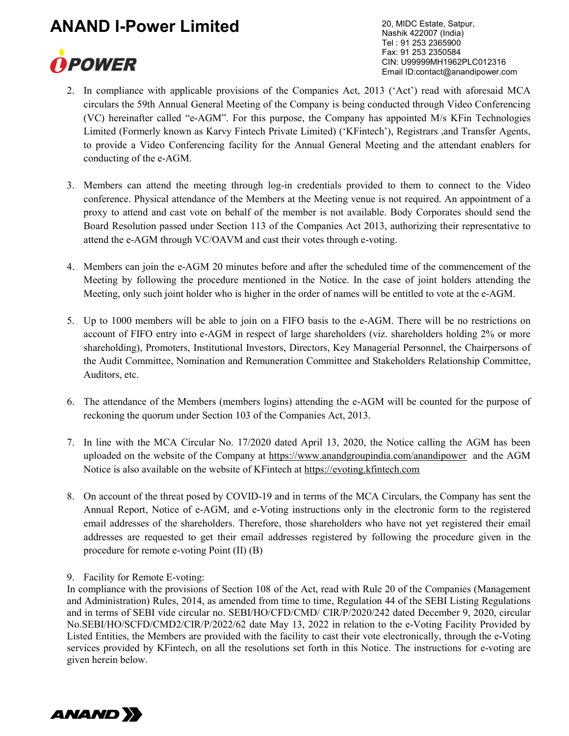

20, MIDC Estate, Satpur, Nashik 422007 (India) Tel : 91 253 2365900 Fax: 91 253 2350584 CIN: U99999MH1962PLC012316 Email ID:contact@anandipower.com

- 2. In compliance with applicable provisions of the Companies Act, 2013 ('Act') read with aforesaid MCA circulars the 59th Annual General Meeting of the Company is being conducted through Video Conferencing (VC) hereinafter called "e-AGM". For this purpose, the Company has appointed M/s KFin Technologies Limited (Formerly known as Karvy Fintech Private Limited) ('KFintech'), Registrars ,and Transfer Agents, to provide a Video Conferencing facility for the Annual General Meeting and the attendant enablers for conducting of the e-AGM.
- 3. Members can attend the meeting through log-in credentials provided to them to connect to the Video conference. Physical attendance of the Members at the Meeting venue is not required. An appointment of a proxy to attend and cast vote on behalf of the member is not available. Body Corporates should send the Board Resolution passed under Section 113 of the Companies Act 2013, authorizing their representative to attend the e-AGM through VC/OAVM and cast their votes through e-voting.
- 4. Members can join the e-AGM 20 minutes before and after the scheduled time of the commencement of the Meeting by following the procedure mentioned in the Notice. In the case of joint holders attending the Meeting, only such joint holder who is higher in the order of names will be entitled to vote at the e-AGM.
- 5. Up to 1000 members will be able to join on a FIFO basis to the e-AGM. There will be no restrictions on account of FIFO entry into e-AGM in respect of large shareholders (viz. shareholders holding 2% or more shareholding), Promoters, Institutional Investors, Directors, Key Managerial Personnel, the Chairpersons of the Audit Committee, Nomination and Remuneration Committee and Stakeholders Relationship Committee, Auditors, etc.
- 6. The attendance of the Members (members logins) attending the e-AGM will be counted for the purpose of reckoning the quorum under Section 103 of the Companies Act, 2013.
- 7. In line with the MCA Circular No. 17/2020 dated April 13, 2020, the Notice calling the AGM has been uploaded on the website of the Company at https://www.anandgroupindia.com/anandipower and the AGM Notice is also available on the website of KFintech at https://evoting.kfintech.com
- 8. On account of the threat posed by COVID-19 and in terms of the MCA Circulars, the Company has sent the Annual Report, Notice of e-AGM, and e-Voting instructions only in the electronic form to the registered email addresses of the shareholders. Therefore, those shareholders who have not yet registered their email addresses are requested to get their email addresses registered by following the procedure given in the procedure for remote e-voting Point (II) (B)

9. Facility for Remote E-voting:

In compliance with the provisions of Section 108 of the Act, read with Rule 20 of the Companies (Management and Administration) Rules, 2014, as amended from time to time, Regulation 44 of the SEBI Listing Regulations and in terms of SEBI vide circular no. SEBI/HO/CFD/CMD/ CIR/P/2020/242 dated December 9, 2020, circular No.SEBI/HO/SCFD/CMD2/CIR/P/2022/62 date May 13, 2022 in relation to the e-Voting Facility Provided by Listed Entities, the Members are provided with the facility to cast their vote electronically, through the e-Voting services provided by KFintech, on all the resolutions set forth in this Notice. The instructions for e-voting are given herein below.

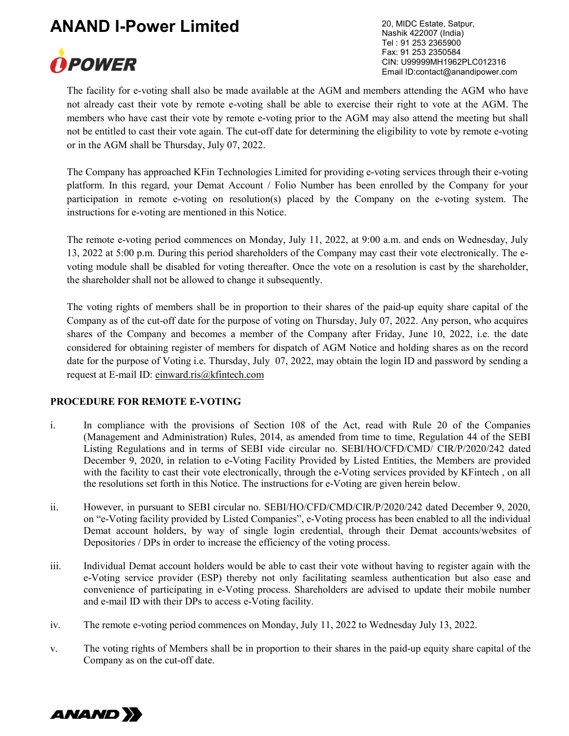

20, MIDC Estate, Satpur, Nashik 422007 (India) Tel : 91 253 2365900 Fax: 91 253 2350584 CIN: U99999MH1962PLC012316 Email ID:contact@anandipower.com

The facility for e-voting shall also be made available at the AGM and members attending the AGM who have not already cast their vote by remote e-voting shall be able to exercise their right to vote at the AGM. The members who have cast their vote by remote e-voting prior to the AGM may also attend the meeting but shall not be entitled to cast their vote again. The cut-off date for determining the eligibility to vote by remote e-voting or in the AGM shall be Thursday, July 07, 2022.

The Company has approached KFin Technologies Limited for providing e-voting services through their e-voting platform. In this regard, your Demat Account / Folio Number has been enrolled by the Company for your participation in remote e-voting on resolution(s) placed by the Company on the e-voting system. The instructions for e-voting are mentioned in this Notice.

The remote e-voting period commences on Monday, July 11, 2022, at 9:00 a.m. and ends on Wednesday, July 13, 2022 at 5:00 p.m. During this period shareholders of the Company may cast their vote electronically. The evoting module shall be disabled for voting thereafter. Once the vote on a resolution is cast by the shareholder, the shareholder shall not be allowed to change it subsequently.

The voting rights of members shall be in proportion to their shares of the paid-up equity share capital of the Company as of the cut-off date for the purpose of voting on Thursday, July 07, 2022. Any person, who acquires shares of the Company and becomes a member of the Company after Friday, June 10, 2022, i.e. the date considered for obtaining register of members for dispatch of AGM Notice and holding shares as on the record date for the purpose of Voting i.e. Thursday, July 07, 2022, may obtain the login ID and password by sending a request at E-mail ID: einward.ris@kfintech.com

### PROCEDURE FOR REMOTE E-VOTING

- i. In compliance with the provisions of Section 108 of the Act, read with Rule 20 of the Companies (Management and Administration) Rules, 2014, as amended from time to time, Regulation 44 of the SEBI Listing Regulations and in terms of SEBI vide circular no. SEBI/HO/CFD/CMD/ CIR/P/2020/242 dated December 9, 2020, in relation to e-Voting Facility Provided by Listed Entities, the Members are provided with the facility to cast their vote electronically, through the e-Voting services provided by KFintech, on all the resolutions set forth in this Notice. The instructions for e-Voting are given herein below.
- ii. However, in pursuant to SEBI circular no. SEBI/HO/CFD/CMD/CIR/P/2020/242 dated December 9, 2020, on "e-Voting facility provided by Listed Companies", e-Voting process has been enabled to all the individual Demat account holders, by way of single login credential, through their Demat accounts/websites of Depositories / DPs in order to increase the efficiency of the voting process.
- iii. Individual Demat account holders would be able to cast their vote without having to register again with the e-Voting service provider (ESP) thereby not only facilitating seamless authentication but also ease and convenience of participating in e-Voting process. Shareholders are advised to update their mobile number and e-mail ID with their DPs to access e-Voting facility.
- iv. The remote e-voting period commences on Monday, July 11, 2022 to Wednesday July 13, 2022.
- v. The voting rights of Members shall be in proportion to their shares in the paid-up equity share capital of the Company as on the cut-off date.

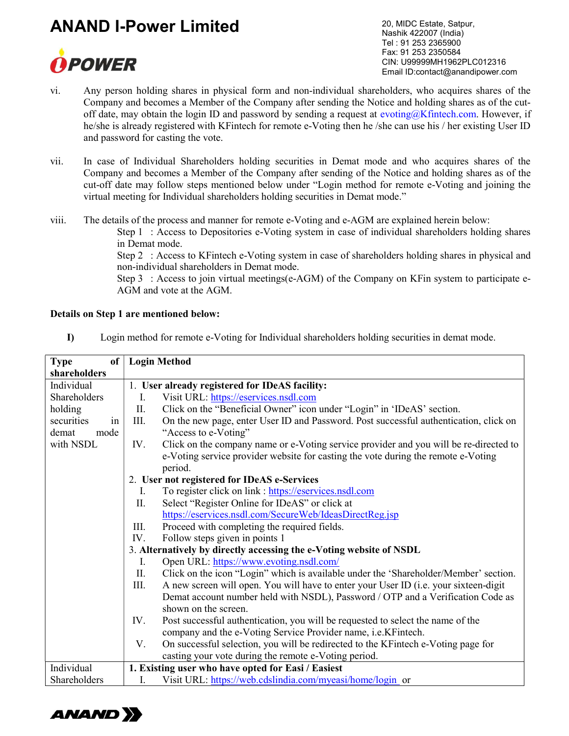

20, MIDC Estate, Satpur, Nashik 422007 (India) Tel : 91 253 2365900 Fax: 91 253 2350584 CIN: U99999MH1962PLC012316 Email ID:contact@anandipower.com

- vi. Any person holding shares in physical form and non-individual shareholders, who acquires shares of the Company and becomes a Member of the Company after sending the Notice and holding shares as of the cutoff date, may obtain the login ID and password by sending a request at evoting $@K$ fintech.com. However, if he/she is already registered with KFintech for remote e-Voting then he /she can use his / her existing User ID and password for casting the vote.
- vii. In case of Individual Shareholders holding securities in Demat mode and who acquires shares of the Company and becomes a Member of the Company after sending of the Notice and holding shares as of the cut-off date may follow steps mentioned below under "Login method for remote e-Voting and joining the virtual meeting for Individual shareholders holding securities in Demat mode."
- viii. The details of the process and manner for remote e-Voting and e-AGM are explained herein below:

Step 1 : Access to Depositories e-Voting system in case of individual shareholders holding shares in Demat mode.

Step 2 : Access to KFintech e-Voting system in case of shareholders holding shares in physical and non-individual shareholders in Demat mode.

Step 3 : Access to join virtual meetings(e-AGM) of the Company on KFin system to participate e-AGM and vote at the AGM.

#### Details on Step 1 are mentioned below:

I) Login method for remote e-Voting for Individual shareholders holding securities in demat mode.

| <b>Type</b><br>of | <b>Login Method</b>                                                                           |  |
|-------------------|-----------------------------------------------------------------------------------------------|--|
| shareholders      |                                                                                               |  |
| Individual        | 1. User already registered for IDeAS facility:                                                |  |
| Shareholders      | Visit URL: https://eservices.nsdl.com<br>I.                                                   |  |
| holding           | Click on the "Beneficial Owner" icon under "Login" in 'IDeAS' section.<br>П.                  |  |
| securities<br>1n  | III.<br>On the new page, enter User ID and Password. Post successful authentication, click on |  |
| demat<br>mode     | "Access to e-Voting"                                                                          |  |
| with NSDL         | Click on the company name or e-Voting service provider and you will be re-directed to<br>IV.  |  |
|                   | e-Voting service provider website for casting the vote during the remote e-Voting             |  |
|                   | period.                                                                                       |  |
|                   | 2. User not registered for IDeAS e-Services                                                   |  |
|                   | To register click on link : https://eservices.nsdl.com<br>L.                                  |  |
|                   | Select "Register Online for IDeAS" or click at<br>П.                                          |  |
|                   | https://eservices.nsdl.com/SecureWeb/IdeasDirectReg.jsp                                       |  |
|                   | Proceed with completing the required fields.<br>III.                                          |  |
|                   | Follow steps given in points 1<br>IV.                                                         |  |
|                   | 3. Alternatively by directly accessing the e-Voting website of NSDL                           |  |
|                   | I.<br>Open URL: https://www.evoting.nsdl.com/                                                 |  |
|                   | Click on the icon "Login" which is available under the 'Shareholder/Member' section.<br>П.    |  |
|                   | III.<br>A new screen will open. You will have to enter your User ID (i.e. your sixteen-digit  |  |
|                   | Demat account number held with NSDL), Password / OTP and a Verification Code as               |  |
|                   | shown on the screen.                                                                          |  |
|                   | Post successful authentication, you will be requested to select the name of the<br>IV.        |  |
|                   | company and the e-Voting Service Provider name, i.e.KFintech.                                 |  |
|                   | On successful selection, you will be redirected to the KFintech e-Voting page for<br>V.       |  |
|                   | casting your vote during the remote e-Voting period.                                          |  |
| Individual        | 1. Existing user who have opted for Easi / Easiest                                            |  |
| Shareholders      | Visit URL: https://web.cdslindia.com/myeasi/home/login or<br>Ι.                               |  |

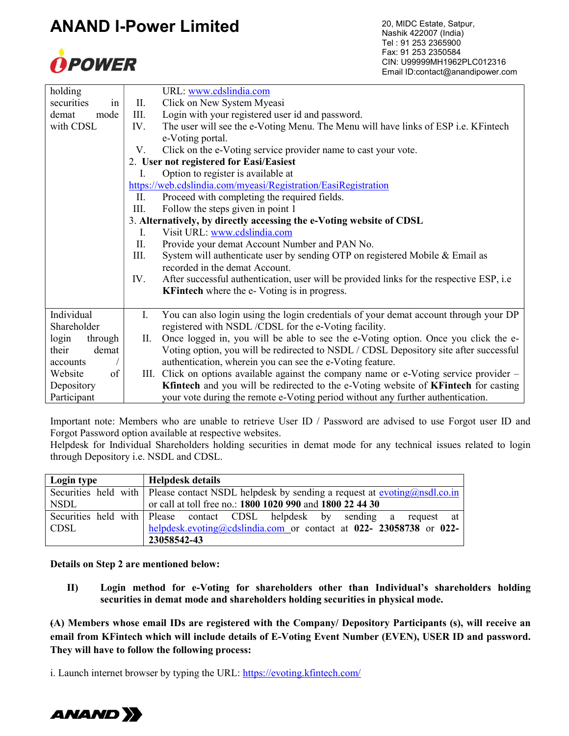

20, MIDC Estate, Satpur, Nashik 422007 (India) Tel : 91 253 2365900 Fax: 91 253 2350584 CIN: U99999MH1962PLC012316 Email ID:contact@anandipower.com

| holding          |      | URL: www.cdslindia.com                                                                    |
|------------------|------|-------------------------------------------------------------------------------------------|
| securities<br>1n | II.  | Click on New System Myeasi                                                                |
| mode<br>demat    | III. | Login with your registered user id and password.                                          |
| with CDSL        | IV.  | The user will see the e-Voting Menu. The Menu will have links of ESP i.e. KFintech        |
|                  |      | e-Voting portal.                                                                          |
|                  | V.   | Click on the e-Voting service provider name to cast your vote.                            |
|                  |      | 2. User not registered for Easi/Easiest                                                   |
|                  | L    | Option to register is available at                                                        |
|                  |      | https://web.cdslindia.com/myeasi/Registration/EasiRegistration                            |
|                  | П.   | Proceed with completing the required fields.                                              |
|                  | III. | Follow the steps given in point 1                                                         |
|                  |      | 3. Alternatively, by directly accessing the e-Voting website of CDSL                      |
|                  | I.   | Visit URL: www.cdslindia.com                                                              |
|                  | П.   | Provide your demat Account Number and PAN No.                                             |
|                  | III. | System will authenticate user by sending OTP on registered Mobile & Email as              |
|                  |      | recorded in the demat Account.                                                            |
|                  | IV.  | After successful authentication, user will be provided links for the respective ESP, i.e. |
|                  |      | <b>KFintech</b> where the e-Voting is in progress.                                        |
|                  |      |                                                                                           |
| Individual       | I.   | You can also login using the login credentials of your demat account through your DP      |
| Shareholder      |      | registered with NSDL/CDSL for the e-Voting facility.                                      |
| login<br>through | П.   | Once logged in, you will be able to see the e-Voting option. Once you click the e-        |
| their<br>demat   |      | Voting option, you will be redirected to NSDL / CDSL Depository site after successful     |
| accounts         |      | authentication, wherein you can see the e-Voting feature.                                 |
| of<br>Website    |      | III. Click on options available against the company name or e-Voting service provider -   |
| Depository       |      | Kfintech and you will be redirected to the e-Voting website of KFintech for casting       |
| Participant      |      | your vote during the remote e-Voting period without any further authentication.           |

Important note: Members who are unable to retrieve User ID / Password are advised to use Forgot user ID and Forgot Password option available at respective websites.

Helpdesk for Individual Shareholders holding securities in demat mode for any technical issues related to login through Depository i.e. NSDL and CDSL.

| Login type | <b>Helpdesk details</b>                                                                                        |
|------------|----------------------------------------------------------------------------------------------------------------|
|            | Securities held with   Please contact NSDL helpdesk by sending a request at $evoting(\partial n s d.l.c.o.in)$ |
| NSDL       | or call at toll free no.: 1800 1020 990 and 1800 22 44 30                                                      |
|            | Securities held with Please contact CDSL helpdesk by sending a request at                                      |
| CDSL       | helpdesk.evoting@cdslindia.com or contact at $022 - 23058738$ or 022-                                          |
|            | 23058542-43                                                                                                    |

Details on Step 2 are mentioned below:

II) Login method for e-Voting for shareholders other than Individual's shareholders holding securities in demat mode and shareholders holding securities in physical mode.

(A) Members whose email IDs are registered with the Company/ Depository Participants (s), will receive an email from KFintech which will include details of E-Voting Event Number (EVEN), USER ID and password. They will have to follow the following process:

i. Launch internet browser by typing the URL: https://evoting.kfintech.com/

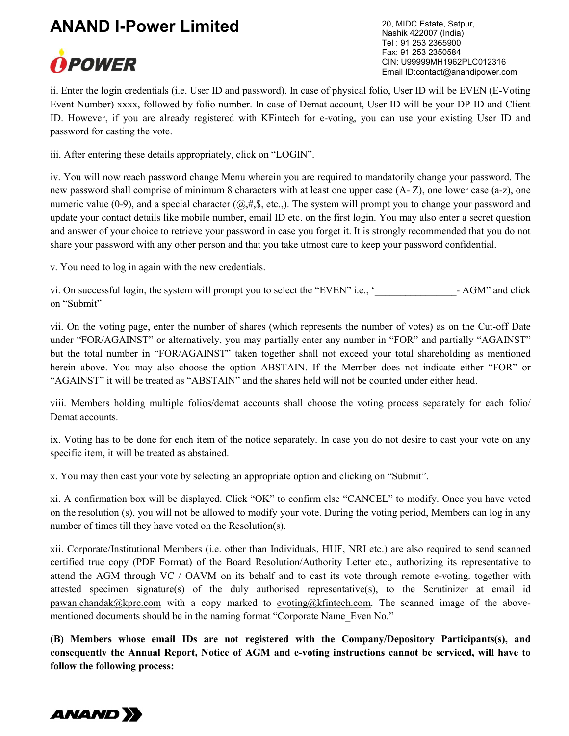

20, MIDC Estate, Satpur, Nashik 422007 (India) Tel : 91 253 2365900 Fax: 91 253 2350584 CIN: U99999MH1962PLC012316 Email ID:contact@anandipower.com

ii. Enter the login credentials (i.e. User ID and password). In case of physical folio, User ID will be EVEN (E-Voting Event Number) xxxx, followed by folio number. In case of Demat account, User ID will be your DP ID and Client ID. However, if you are already registered with KFintech for e-voting, you can use your existing User ID and password for casting the vote.

iii. After entering these details appropriately, click on "LOGIN".

iv. You will now reach password change Menu wherein you are required to mandatorily change your password. The new password shall comprise of minimum 8 characters with at least one upper case (A- Z), one lower case (a-z), one numeric value (0-9), and a special character  $(@, #, \$, etc.,)$ . The system will prompt you to change your password and update your contact details like mobile number, email ID etc. on the first login. You may also enter a secret question and answer of your choice to retrieve your password in case you forget it. It is strongly recommended that you do not share your password with any other person and that you take utmost care to keep your password confidential.

v. You need to log in again with the new credentials.

vi. On successful login, the system will prompt you to select the "EVEN" i.e., '\_\_\_\_\_\_\_\_\_\_\_\_\_\_\_\_- AGM" and click on "Submit"

vii. On the voting page, enter the number of shares (which represents the number of votes) as on the Cut-off Date under "FOR/AGAINST" or alternatively, you may partially enter any number in "FOR" and partially "AGAINST" but the total number in "FOR/AGAINST" taken together shall not exceed your total shareholding as mentioned herein above. You may also choose the option ABSTAIN. If the Member does not indicate either "FOR" or "AGAINST" it will be treated as "ABSTAIN" and the shares held will not be counted under either head.

viii. Members holding multiple folios/demat accounts shall choose the voting process separately for each folio/ Demat accounts.

ix. Voting has to be done for each item of the notice separately. In case you do not desire to cast your vote on any specific item, it will be treated as abstained.

x. You may then cast your vote by selecting an appropriate option and clicking on "Submit".

xi. A confirmation box will be displayed. Click "OK" to confirm else "CANCEL" to modify. Once you have voted on the resolution (s), you will not be allowed to modify your vote. During the voting period, Members can log in any number of times till they have voted on the Resolution(s).

xii. Corporate/Institutional Members (i.e. other than Individuals, HUF, NRI etc.) are also required to send scanned certified true copy (PDF Format) of the Board Resolution/Authority Letter etc., authorizing its representative to attend the AGM through VC / OAVM on its behalf and to cast its vote through remote e-voting. together with attested specimen signature(s) of the duly authorised representative(s), to the Scrutinizer at email id pawan.chandak@kprc.com with a copy marked to evoting@kfintech.com. The scanned image of the abovementioned documents should be in the naming format "Corporate Name Even No."

(B) Members whose email IDs are not registered with the Company/Depository Participants(s), and consequently the Annual Report, Notice of AGM and e-voting instructions cannot be serviced, will have to follow the following process:

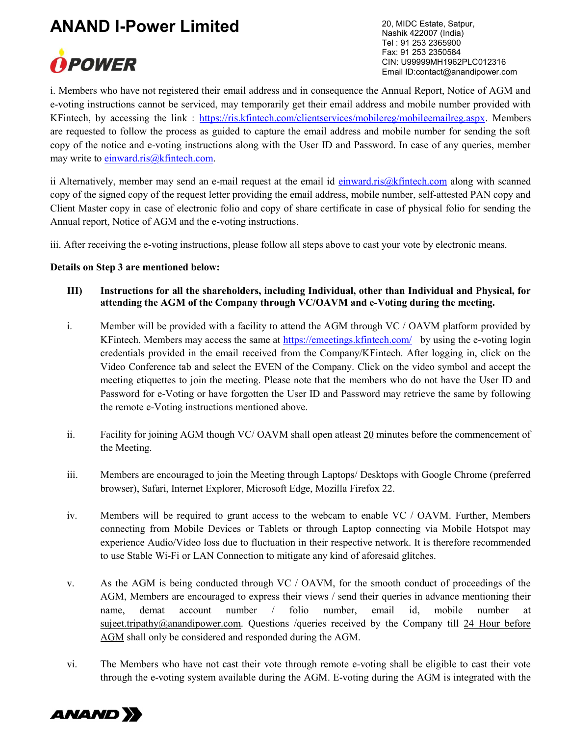

20, MIDC Estate, Satpur, Nashik 422007 (India) Tel : 91 253 2365900 Fax: 91 253 2350584 CIN: U99999MH1962PLC012316 Email ID:contact@anandipower.com

i. Members who have not registered their email address and in consequence the Annual Report, Notice of AGM and e-voting instructions cannot be serviced, may temporarily get their email address and mobile number provided with KFintech, by accessing the link : https://ris.kfintech.com/clientservices/mobilereg/mobileemailreg.aspx. Members are requested to follow the process as guided to capture the email address and mobile number for sending the soft copy of the notice and e-voting instructions along with the User ID and Password. In case of any queries, member may write to einward.ris@kfintech.com.

ii Alternatively, member may send an e-mail request at the email id einward.ris@kfintech.com along with scanned copy of the signed copy of the request letter providing the email address, mobile number, self-attested PAN copy and Client Master copy in case of electronic folio and copy of share certificate in case of physical folio for sending the Annual report, Notice of AGM and the e-voting instructions.

iii. After receiving the e-voting instructions, please follow all steps above to cast your vote by electronic means.

#### Details on Step 3 are mentioned below:

- III) Instructions for all the shareholders, including Individual, other than Individual and Physical, for attending the AGM of the Company through VC/OAVM and e-Voting during the meeting.
- i. Member will be provided with a facility to attend the AGM through VC / OAVM platform provided by KFintech. Members may access the same at https://emeetings.kfintech.com/ by using the e-voting login credentials provided in the email received from the Company/KFintech. After logging in, click on the Video Conference tab and select the EVEN of the Company. Click on the video symbol and accept the meeting etiquettes to join the meeting. Please note that the members who do not have the User ID and Password for e-Voting or have forgotten the User ID and Password may retrieve the same by following the remote e-Voting instructions mentioned above.
- ii. Facility for joining AGM though VC/ OAVM shall open at least 20 minutes before the commencement of the Meeting.
- iii. Members are encouraged to join the Meeting through Laptops/ Desktops with Google Chrome (preferred browser), Safari, Internet Explorer, Microsoft Edge, Mozilla Firefox 22.
- iv. Members will be required to grant access to the webcam to enable VC / OAVM. Further, Members connecting from Mobile Devices or Tablets or through Laptop connecting via Mobile Hotspot may experience Audio/Video loss due to fluctuation in their respective network. It is therefore recommended to use Stable Wi-Fi or LAN Connection to mitigate any kind of aforesaid glitches.
- v. As the AGM is being conducted through VC / OAVM, for the smooth conduct of proceedings of the AGM, Members are encouraged to express their views / send their queries in advance mentioning their name, demat account number / folio number, email id, mobile number at sujeet.tripathy@anandipower.com. Questions /queries received by the Company till 24 Hour before AGM shall only be considered and responded during the AGM.
- vi. The Members who have not cast their vote through remote e-voting shall be eligible to cast their vote through the e-voting system available during the AGM. E-voting during the AGM is integrated with the

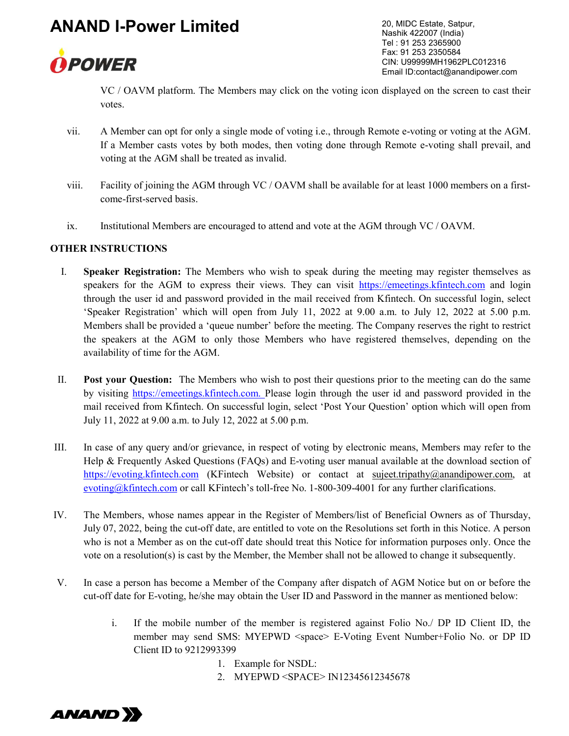

20, MIDC Estate, Satpur, Nashik 422007 (India) Tel : 91 253 2365900 Fax: 91 253 2350584 CIN: U99999MH1962PLC012316 Email ID:contact@anandipower.com

VC / OAVM platform. The Members may click on the voting icon displayed on the screen to cast their votes.

- vii. A Member can opt for only a single mode of voting i.e., through Remote e-voting or voting at the AGM. If a Member casts votes by both modes, then voting done through Remote e-voting shall prevail, and voting at the AGM shall be treated as invalid.
- viii. Facility of joining the AGM through VC / OAVM shall be available for at least 1000 members on a firstcome-first-served basis.
- ix. Institutional Members are encouraged to attend and vote at the AGM through VC / OAVM.

#### OTHER INSTRUCTIONS

- I. Speaker Registration: The Members who wish to speak during the meeting may register themselves as speakers for the AGM to express their views. They can visit https://emeetings.kfintech.com and login through the user id and password provided in the mail received from Kfintech. On successful login, select 'Speaker Registration' which will open from July 11, 2022 at 9.00 a.m. to July 12, 2022 at 5.00 p.m. Members shall be provided a 'queue number' before the meeting. The Company reserves the right to restrict the speakers at the AGM to only those Members who have registered themselves, depending on the availability of time for the AGM.
- II. Post your Question: The Members who wish to post their questions prior to the meeting can do the same by visiting https://emeetings.kfintech.com. Please login through the user id and password provided in the mail received from Kfintech. On successful login, select 'Post Your Question' option which will open from July 11, 2022 at 9.00 a.m. to July 12, 2022 at 5.00 p.m.
- III. In case of any query and/or grievance, in respect of voting by electronic means, Members may refer to the Help & Frequently Asked Questions (FAQs) and E-voting user manual available at the download section of https://evoting.kfintech.com (KFintech Website) or contact at sujeet.tripathy@anandipower.com, at evoting@kfintech.com or call KFintech's toll-free No. 1-800-309-4001 for any further clarifications.
- IV. The Members, whose names appear in the Register of Members/list of Beneficial Owners as of Thursday, July 07, 2022, being the cut-off date, are entitled to vote on the Resolutions set forth in this Notice. A person who is not a Member as on the cut-off date should treat this Notice for information purposes only. Once the vote on a resolution(s) is cast by the Member, the Member shall not be allowed to change it subsequently.
- V. In case a person has become a Member of the Company after dispatch of AGM Notice but on or before the cut-off date for E-voting, he/she may obtain the User ID and Password in the manner as mentioned below:
	- i. If the mobile number of the member is registered against Folio No./ DP ID Client ID, the member may send SMS: MYEPWD <space> E-Voting Event Number+Folio No. or DP ID Client ID to 9212993399
		- 1. Example for NSDL:
		- 2. MYEPWD <SPACE> IN12345612345678